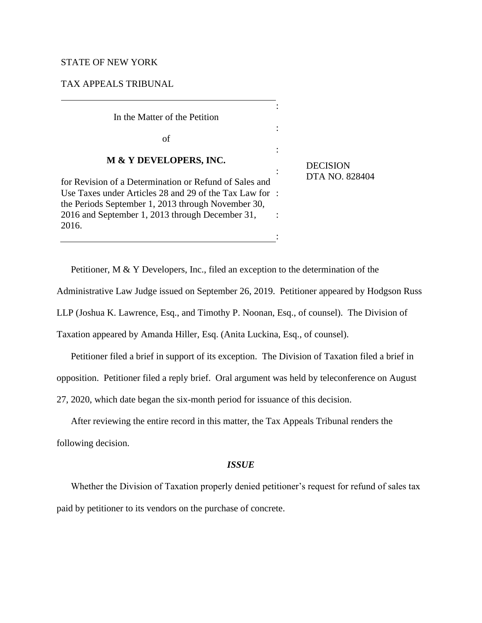### STATE OF NEW YORK

## TAX APPEALS TRIBUNAL

# In the Matter of the Petition

of

#### **M & Y DEVELOPERS, INC.**

for Revision of a Determination or Refund of Sales and Use Taxes under Articles 28 and 29 of the Tax Law for : the Periods September 1, 2013 through November 30, 2016 and September 1, 2013 through December 31, 2016. : **DECISION** DTA NO. 828404

Petitioner, M & Y Developers, Inc., filed an exception to the determination of the

Administrative Law Judge issued on September 26, 2019. Petitioner appeared by Hodgson Russ

:

:

:

:

:

LLP (Joshua K. Lawrence, Esq., and Timothy P. Noonan, Esq., of counsel). The Division of

Taxation appeared by Amanda Hiller, Esq. (Anita Luckina, Esq., of counsel).

Petitioner filed a brief in support of its exception. The Division of Taxation filed a brief in

opposition. Petitioner filed a reply brief. Oral argument was held by teleconference on August

27, 2020, which date began the six-month period for issuance of this decision.

After reviewing the entire record in this matter, the Tax Appeals Tribunal renders the following decision.

#### *ISSUE*

Whether the Division of Taxation properly denied petitioner's request for refund of sales tax paid by petitioner to its vendors on the purchase of concrete.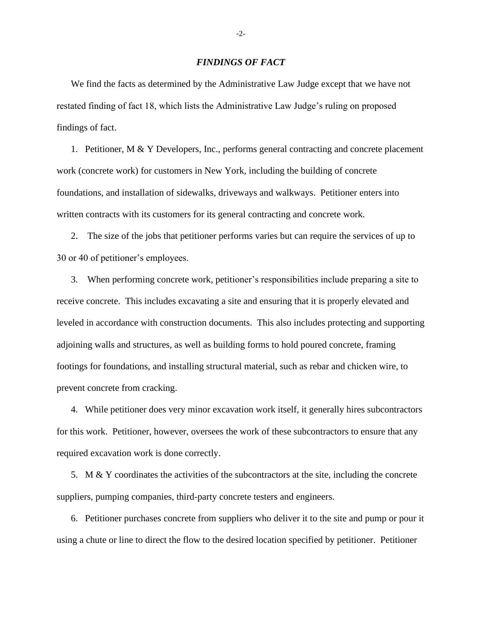#### *FINDINGS OF FACT*

We find the facts as determined by the Administrative Law Judge except that we have not restated finding of fact 18, which lists the Administrative Law Judge's ruling on proposed findings of fact.

1. Petitioner, M & Y Developers, Inc., performs general contracting and concrete placement work (concrete work) for customers in New York, including the building of concrete foundations, and installation of sidewalks, driveways and walkways. Petitioner enters into written contracts with its customers for its general contracting and concrete work.

2. The size of the jobs that petitioner performs varies but can require the services of up to 30 or 40 of petitioner's employees.

3. When performing concrete work, petitioner's responsibilities include preparing a site to receive concrete. This includes excavating a site and ensuring that it is properly elevated and leveled in accordance with construction documents. This also includes protecting and supporting adjoining walls and structures, as well as building forms to hold poured concrete, framing footings for foundations, and installing structural material, such as rebar and chicken wire, to prevent concrete from cracking.

4. While petitioner does very minor excavation work itself, it generally hires subcontractors for this work. Petitioner, however, oversees the work of these subcontractors to ensure that any required excavation work is done correctly.

5. M & Y coordinates the activities of the subcontractors at the site, including the concrete suppliers, pumping companies, third-party concrete testers and engineers.

6. Petitioner purchases concrete from suppliers who deliver it to the site and pump or pour it using a chute or line to direct the flow to the desired location specified by petitioner. Petitioner

-2-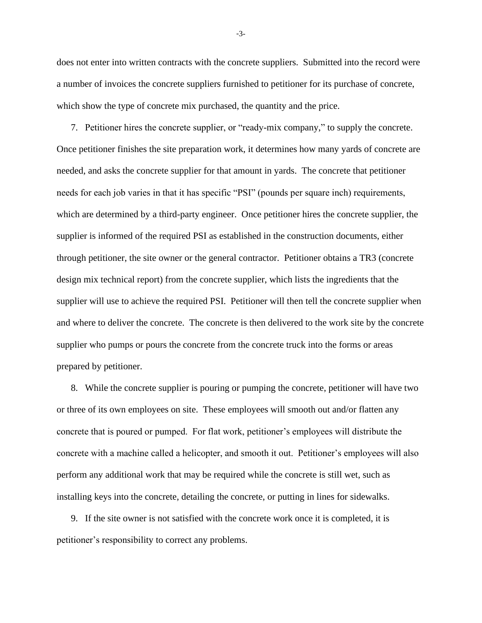does not enter into written contracts with the concrete suppliers. Submitted into the record were a number of invoices the concrete suppliers furnished to petitioner for its purchase of concrete, which show the type of concrete mix purchased, the quantity and the price.

7. Petitioner hires the concrete supplier, or "ready-mix company," to supply the concrete. Once petitioner finishes the site preparation work, it determines how many yards of concrete are needed, and asks the concrete supplier for that amount in yards. The concrete that petitioner needs for each job varies in that it has specific "PSI" (pounds per square inch) requirements, which are determined by a third-party engineer. Once petitioner hires the concrete supplier, the supplier is informed of the required PSI as established in the construction documents, either through petitioner, the site owner or the general contractor. Petitioner obtains a TR3 (concrete design mix technical report) from the concrete supplier, which lists the ingredients that the supplier will use to achieve the required PSI. Petitioner will then tell the concrete supplier when and where to deliver the concrete. The concrete is then delivered to the work site by the concrete supplier who pumps or pours the concrete from the concrete truck into the forms or areas prepared by petitioner.

8. While the concrete supplier is pouring or pumping the concrete, petitioner will have two or three of its own employees on site. These employees will smooth out and/or flatten any concrete that is poured or pumped. For flat work, petitioner's employees will distribute the concrete with a machine called a helicopter, and smooth it out. Petitioner's employees will also perform any additional work that may be required while the concrete is still wet, such as installing keys into the concrete, detailing the concrete, or putting in lines for sidewalks.

9. If the site owner is not satisfied with the concrete work once it is completed, it is petitioner's responsibility to correct any problems.

-3-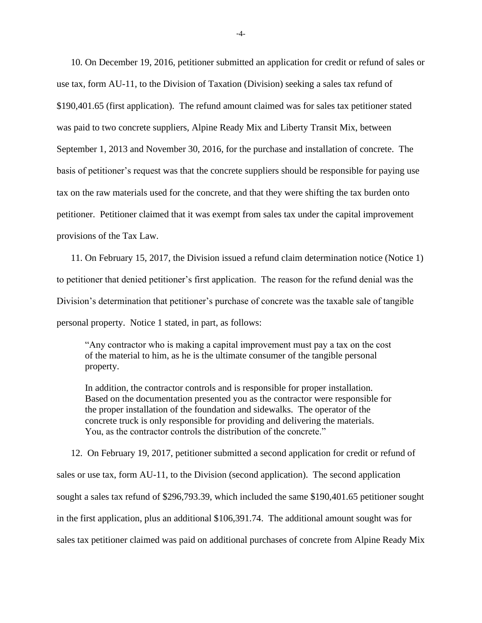10. On December 19, 2016, petitioner submitted an application for credit or refund of sales or use tax, form AU-11, to the Division of Taxation (Division) seeking a sales tax refund of \$190,401.65 (first application). The refund amount claimed was for sales tax petitioner stated was paid to two concrete suppliers, Alpine Ready Mix and Liberty Transit Mix, between September 1, 2013 and November 30, 2016, for the purchase and installation of concrete. The basis of petitioner's request was that the concrete suppliers should be responsible for paying use tax on the raw materials used for the concrete, and that they were shifting the tax burden onto petitioner. Petitioner claimed that it was exempt from sales tax under the capital improvement provisions of the Tax Law.

11. On February 15, 2017, the Division issued a refund claim determination notice (Notice 1) to petitioner that denied petitioner's first application. The reason for the refund denial was the Division's determination that petitioner's purchase of concrete was the taxable sale of tangible personal property. Notice 1 stated, in part, as follows:

"Any contractor who is making a capital improvement must pay a tax on the cost of the material to him, as he is the ultimate consumer of the tangible personal property.

In addition, the contractor controls and is responsible for proper installation. Based on the documentation presented you as the contractor were responsible for the proper installation of the foundation and sidewalks. The operator of the concrete truck is only responsible for providing and delivering the materials. You, as the contractor controls the distribution of the concrete."

12. On February 19, 2017, petitioner submitted a second application for credit or refund of sales or use tax, form AU-11, to the Division (second application). The second application sought a sales tax refund of \$296,793.39, which included the same \$190,401.65 petitioner sought in the first application, plus an additional \$106,391.74. The additional amount sought was for sales tax petitioner claimed was paid on additional purchases of concrete from Alpine Ready Mix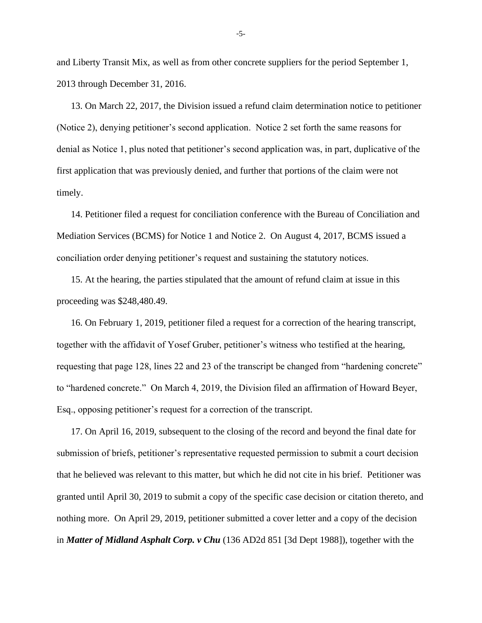and Liberty Transit Mix, as well as from other concrete suppliers for the period September 1, 2013 through December 31, 2016.

13. On March 22, 2017, the Division issued a refund claim determination notice to petitioner (Notice 2), denying petitioner's second application. Notice 2 set forth the same reasons for denial as Notice 1, plus noted that petitioner's second application was, in part, duplicative of the first application that was previously denied, and further that portions of the claim were not timely.

14. Petitioner filed a request for conciliation conference with the Bureau of Conciliation and Mediation Services (BCMS) for Notice 1 and Notice 2. On August 4, 2017, BCMS issued a conciliation order denying petitioner's request and sustaining the statutory notices.

15. At the hearing, the parties stipulated that the amount of refund claim at issue in this proceeding was \$248,480.49.

16. On February 1, 2019, petitioner filed a request for a correction of the hearing transcript, together with the affidavit of Yosef Gruber, petitioner's witness who testified at the hearing, requesting that page 128, lines 22 and 23 of the transcript be changed from "hardening concrete" to "hardened concrete." On March 4, 2019, the Division filed an affirmation of Howard Beyer, Esq., opposing petitioner's request for a correction of the transcript.

17. On April 16, 2019, subsequent to the closing of the record and beyond the final date for submission of briefs, petitioner's representative requested permission to submit a court decision that he believed was relevant to this matter, but which he did not cite in his brief. Petitioner was granted until April 30, 2019 to submit a copy of the specific case decision or citation thereto, and nothing more. On April 29, 2019, petitioner submitted a cover letter and a copy of the decision in *Matter of Midland Asphalt Corp. v Chu* (136 AD2d 851 [3d Dept 1988]), together with the

-5-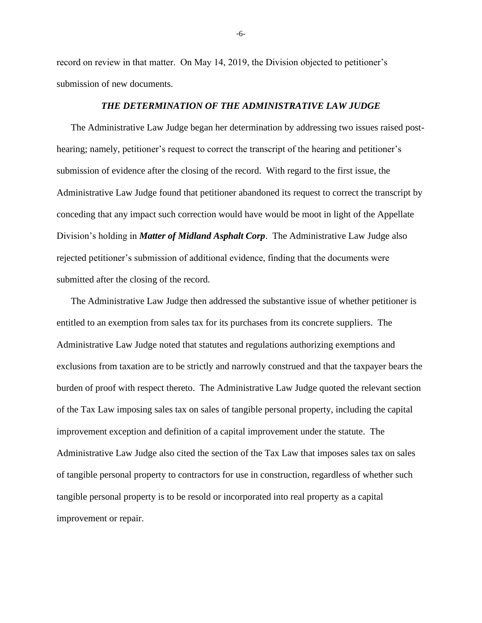record on review in that matter. On May 14, 2019, the Division objected to petitioner's submission of new documents.

#### *THE DETERMINATION OF THE ADMINISTRATIVE LAW JUDGE*

The Administrative Law Judge began her determination by addressing two issues raised posthearing; namely, petitioner's request to correct the transcript of the hearing and petitioner's submission of evidence after the closing of the record. With regard to the first issue, the Administrative Law Judge found that petitioner abandoned its request to correct the transcript by conceding that any impact such correction would have would be moot in light of the Appellate Division's holding in *Matter of Midland Asphalt Corp*. The Administrative Law Judge also rejected petitioner's submission of additional evidence, finding that the documents were submitted after the closing of the record.

The Administrative Law Judge then addressed the substantive issue of whether petitioner is entitled to an exemption from sales tax for its purchases from its concrete suppliers. The Administrative Law Judge noted that statutes and regulations authorizing exemptions and exclusions from taxation are to be strictly and narrowly construed and that the taxpayer bears the burden of proof with respect thereto. The Administrative Law Judge quoted the relevant section of the Tax Law imposing sales tax on sales of tangible personal property, including the capital improvement exception and definition of a capital improvement under the statute. The Administrative Law Judge also cited the section of the Tax Law that imposes sales tax on sales of tangible personal property to contractors for use in construction, regardless of whether such tangible personal property is to be resold or incorporated into real property as a capital improvement or repair.

-6-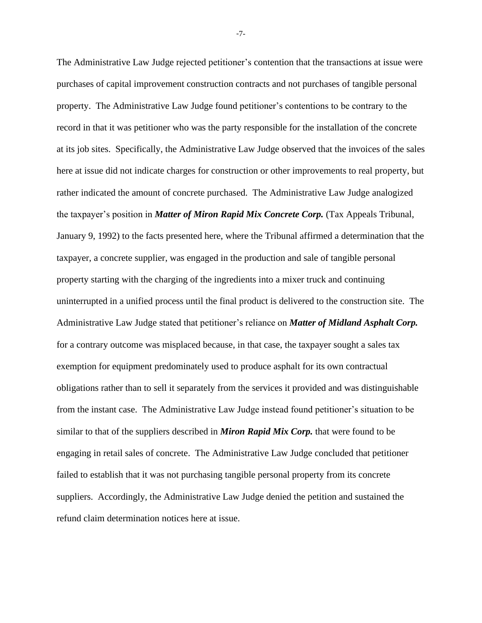The Administrative Law Judge rejected petitioner's contention that the transactions at issue were purchases of capital improvement construction contracts and not purchases of tangible personal property. The Administrative Law Judge found petitioner's contentions to be contrary to the record in that it was petitioner who was the party responsible for the installation of the concrete at its job sites. Specifically, the Administrative Law Judge observed that the invoices of the sales here at issue did not indicate charges for construction or other improvements to real property, but rather indicated the amount of concrete purchased. The Administrative Law Judge analogized the taxpayer's position in *Matter of Miron Rapid Mix Concrete Corp.* (Tax Appeals Tribunal, January 9, 1992) to the facts presented here, where the Tribunal affirmed a determination that the taxpayer, a concrete supplier, was engaged in the production and sale of tangible personal property starting with the charging of the ingredients into a mixer truck and continuing uninterrupted in a unified process until the final product is delivered to the construction site. The Administrative Law Judge stated that petitioner's reliance on *Matter of Midland Asphalt Corp.* for a contrary outcome was misplaced because, in that case, the taxpayer sought a sales tax exemption for equipment predominately used to produce asphalt for its own contractual obligations rather than to sell it separately from the services it provided and was distinguishable from the instant case. The Administrative Law Judge instead found petitioner's situation to be similar to that of the suppliers described in *Miron Rapid Mix Corp.* that were found to be engaging in retail sales of concrete. The Administrative Law Judge concluded that petitioner failed to establish that it was not purchasing tangible personal property from its concrete suppliers. Accordingly, the Administrative Law Judge denied the petition and sustained the refund claim determination notices here at issue.

-7-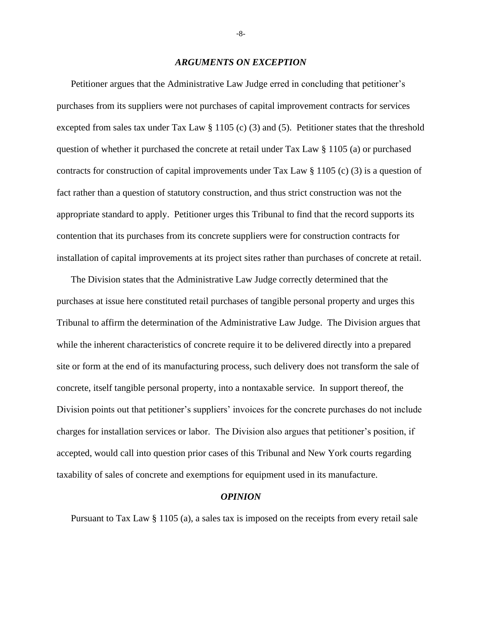#### *ARGUMENTS ON EXCEPTION*

Petitioner argues that the Administrative Law Judge erred in concluding that petitioner's purchases from its suppliers were not purchases of capital improvement contracts for services excepted from sales tax under Tax Law § 1105 (c) (3) and (5). Petitioner states that the threshold question of whether it purchased the concrete at retail under Tax Law § 1105 (a) or purchased contracts for construction of capital improvements under Tax Law § 1105 (c) (3) is a question of fact rather than a question of statutory construction, and thus strict construction was not the appropriate standard to apply. Petitioner urges this Tribunal to find that the record supports its contention that its purchases from its concrete suppliers were for construction contracts for installation of capital improvements at its project sites rather than purchases of concrete at retail.

The Division states that the Administrative Law Judge correctly determined that the purchases at issue here constituted retail purchases of tangible personal property and urges this Tribunal to affirm the determination of the Administrative Law Judge. The Division argues that while the inherent characteristics of concrete require it to be delivered directly into a prepared site or form at the end of its manufacturing process, such delivery does not transform the sale of concrete, itself tangible personal property, into a nontaxable service. In support thereof, the Division points out that petitioner's suppliers' invoices for the concrete purchases do not include charges for installation services or labor. The Division also argues that petitioner's position, if accepted, would call into question prior cases of this Tribunal and New York courts regarding taxability of sales of concrete and exemptions for equipment used in its manufacture.

#### *OPINION*

Pursuant to Tax Law § 1105 (a), a sales tax is imposed on the receipts from every retail sale

-8-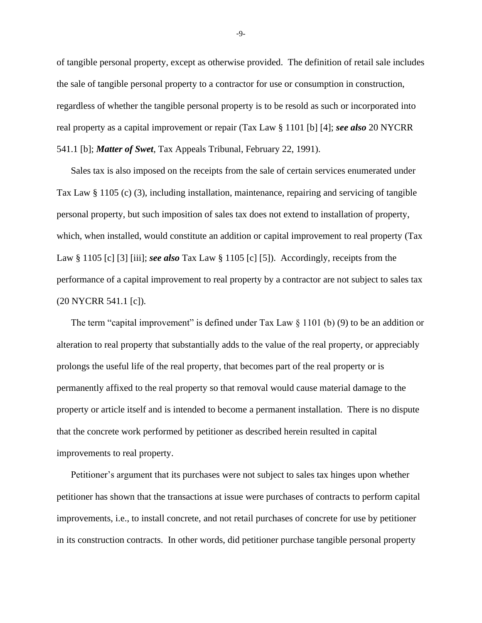of tangible personal property, except as otherwise provided. The definition of retail sale includes the sale of tangible personal property to a contractor for use or consumption in construction, regardless of whether the tangible personal property is to be resold as such or incorporated into real property as a capital improvement or repair (Tax Law § 1101 [b] [4]; *see also* 20 NYCRR 541.1 [b]; *Matter of Swet*, Tax Appeals Tribunal, February 22, 1991).

Sales tax is also imposed on the receipts from the sale of certain services enumerated under Tax Law § 1105 (c) (3), including installation, maintenance, repairing and servicing of tangible personal property, but such imposition of sales tax does not extend to installation of property, which, when installed, would constitute an addition or capital improvement to real property (Tax Law § 1105 [c] [3] [iii]; *see also* Tax Law § 1105 [c] [5]). Accordingly, receipts from the performance of a capital improvement to real property by a contractor are not subject to sales tax (20 NYCRR 541.1 [c]).

The term "capital improvement" is defined under Tax Law  $\S$  1101 (b) (9) to be an addition or alteration to real property that substantially adds to the value of the real property, or appreciably prolongs the useful life of the real property, that becomes part of the real property or is permanently affixed to the real property so that removal would cause material damage to the property or article itself and is intended to become a permanent installation. There is no dispute that the concrete work performed by petitioner as described herein resulted in capital improvements to real property.

Petitioner's argument that its purchases were not subject to sales tax hinges upon whether petitioner has shown that the transactions at issue were purchases of contracts to perform capital improvements, i.e., to install concrete, and not retail purchases of concrete for use by petitioner in its construction contracts. In other words, did petitioner purchase tangible personal property

-9-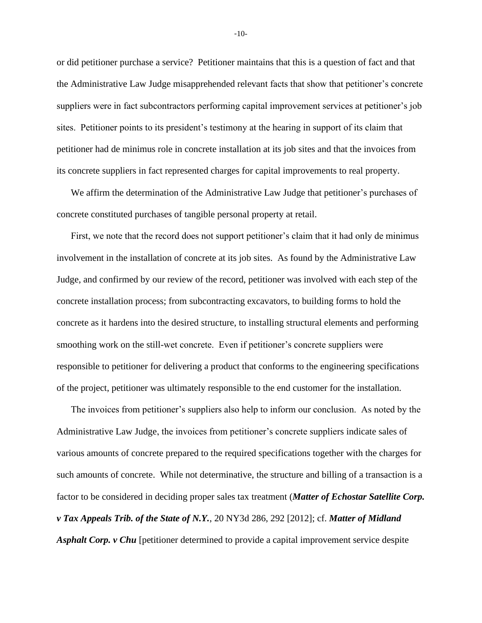or did petitioner purchase a service? Petitioner maintains that this is a question of fact and that the Administrative Law Judge misapprehended relevant facts that show that petitioner's concrete suppliers were in fact subcontractors performing capital improvement services at petitioner's job sites. Petitioner points to its president's testimony at the hearing in support of its claim that petitioner had de minimus role in concrete installation at its job sites and that the invoices from its concrete suppliers in fact represented charges for capital improvements to real property.

We affirm the determination of the Administrative Law Judge that petitioner's purchases of concrete constituted purchases of tangible personal property at retail.

First, we note that the record does not support petitioner's claim that it had only de minimus involvement in the installation of concrete at its job sites. As found by the Administrative Law Judge, and confirmed by our review of the record, petitioner was involved with each step of the concrete installation process; from subcontracting excavators, to building forms to hold the concrete as it hardens into the desired structure, to installing structural elements and performing smoothing work on the still-wet concrete. Even if petitioner's concrete suppliers were responsible to petitioner for delivering a product that conforms to the engineering specifications of the project, petitioner was ultimately responsible to the end customer for the installation.

The invoices from petitioner's suppliers also help to inform our conclusion. As noted by the Administrative Law Judge, the invoices from petitioner's concrete suppliers indicate sales of various amounts of concrete prepared to the required specifications together with the charges for such amounts of concrete. While not determinative, the structure and billing of a transaction is a factor to be considered in deciding proper sales tax treatment (*Matter of Echostar Satellite Corp. v Tax Appeals Trib. of the State of N.Y.*, 20 NY3d 286, 292 [2012]; cf. *Matter of Midland Asphalt Corp. v Chu* [petitioner determined to provide a capital improvement service despite

-10-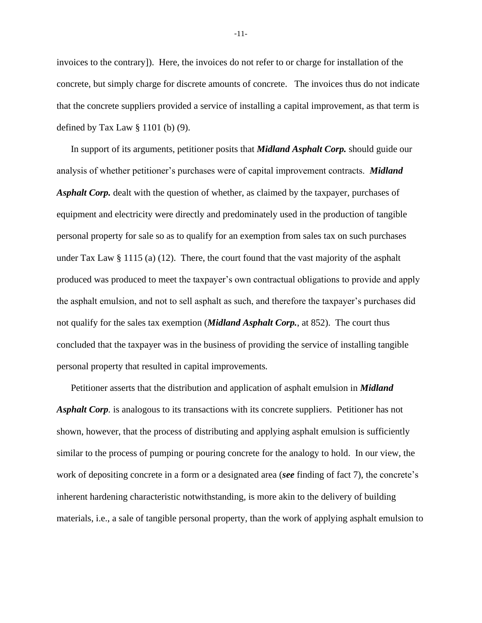invoices to the contrary]). Here, the invoices do not refer to or charge for installation of the concrete, but simply charge for discrete amounts of concrete. The invoices thus do not indicate that the concrete suppliers provided a service of installing a capital improvement, as that term is defined by Tax Law § 1101 (b) (9).

In support of its arguments, petitioner posits that *Midland Asphalt Corp.* should guide our analysis of whether petitioner's purchases were of capital improvement contracts. *Midland Asphalt Corp.* dealt with the question of whether, as claimed by the taxpayer, purchases of equipment and electricity were directly and predominately used in the production of tangible personal property for sale so as to qualify for an exemption from sales tax on such purchases under Tax Law  $\S 1115$  (a) (12). There, the court found that the vast majority of the asphalt produced was produced to meet the taxpayer's own contractual obligations to provide and apply the asphalt emulsion, and not to sell asphalt as such, and therefore the taxpayer's purchases did not qualify for the sales tax exemption (*Midland Asphalt Corp.*, at 852). The court thus concluded that the taxpayer was in the business of providing the service of installing tangible personal property that resulted in capital improvements*.* 

Petitioner asserts that the distribution and application of asphalt emulsion in *Midland Asphalt Corp.* is analogous to its transactions with its concrete suppliers. Petitioner has not shown, however, that the process of distributing and applying asphalt emulsion is sufficiently similar to the process of pumping or pouring concrete for the analogy to hold. In our view, the work of depositing concrete in a form or a designated area (*see* finding of fact 7), the concrete's inherent hardening characteristic notwithstanding, is more akin to the delivery of building materials, i.e., a sale of tangible personal property, than the work of applying asphalt emulsion to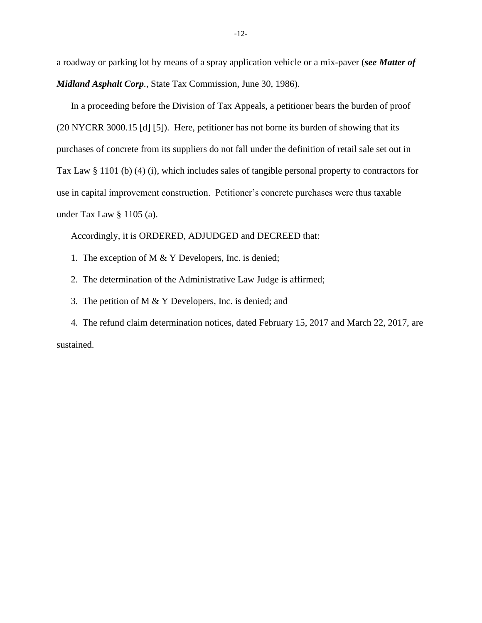a roadway or parking lot by means of a spray application vehicle or a mix-paver (*see Matter of Midland Asphalt Corp.*, State Tax Commission, June 30, 1986).

In a proceeding before the Division of Tax Appeals, a petitioner bears the burden of proof (20 NYCRR 3000.15 [d] [5]). Here, petitioner has not borne its burden of showing that its purchases of concrete from its suppliers do not fall under the definition of retail sale set out in Tax Law § 1101 (b) (4) (i), which includes sales of tangible personal property to contractors for use in capital improvement construction. Petitioner's concrete purchases were thus taxable under Tax Law § 1105 (a).

Accordingly, it is ORDERED, ADJUDGED and DECREED that:

1. The exception of M & Y Developers, Inc. is denied;

2. The determination of the Administrative Law Judge is affirmed;

3. The petition of M & Y Developers, Inc. is denied; and

4. The refund claim determination notices, dated February 15, 2017 and March 22, 2017, are sustained.